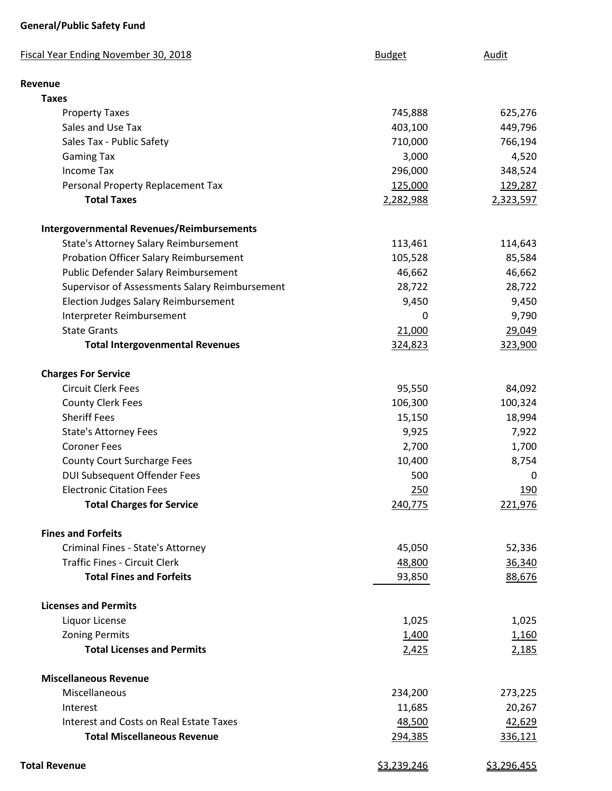## **General/Public Safety Fund**

| <b>Fiscal Year Ending November 30, 2018</b>      | <b>Budget</b>      | Audit              |
|--------------------------------------------------|--------------------|--------------------|
| <b>Revenue</b>                                   |                    |                    |
| <b>Taxes</b>                                     |                    |                    |
| <b>Property Taxes</b>                            | 745,888            | 625,276            |
| Sales and Use Tax                                | 403,100            | 449,796            |
| Sales Tax - Public Safety                        | 710,000            | 766,194            |
| <b>Gaming Tax</b>                                | 3,000              | 4,520              |
| <b>Income Tax</b>                                | 296,000            | 348,524            |
| Personal Property Replacement Tax                | 125,000            | 129,287            |
| <b>Total Taxes</b>                               | 2,282,988          | 2,323,597          |
| <b>Intergovernmental Revenues/Reimbursements</b> |                    |                    |
| State's Attorney Salary Reimbursement            | 113,461            | 114,643            |
| Probation Officer Salary Reimbursement           | 105,528            | 85,584             |
| Public Defender Salary Reimbursement             | 46,662             | 46,662             |
| Supervisor of Assessments Salary Reimbursement   | 28,722             | 28,722             |
| <b>Election Judges Salary Reimbursement</b>      | 9,450              | 9,450              |
| Interpreter Reimbursement                        | 0                  | 9,790              |
| <b>State Grants</b>                              | 21,000             | 29,049             |
| <b>Total Intergovenmental Revenues</b>           | 324,823            | 323,900            |
| <b>Charges For Service</b>                       |                    |                    |
| <b>Circuit Clerk Fees</b>                        | 95,550             | 84,092             |
| <b>County Clerk Fees</b>                         | 106,300            | 100,324            |
| <b>Sheriff Fees</b>                              | 15,150             | 18,994             |
| <b>State's Attorney Fees</b>                     | 9,925              | 7,922              |
| <b>Coroner Fees</b>                              | 2,700              | 1,700              |
| <b>County Court Surcharge Fees</b>               | 10,400             | 8,754              |
| <b>DUI Subsequent Offender Fees</b>              | 500                | 0                  |
| <b>Electronic Citation Fees</b>                  | 250                | 190                |
| <b>Total Charges for Service</b>                 | 240,775            | 221,976            |
| <b>Fines and Forfeits</b>                        |                    |                    |
| Criminal Fines - State's Attorney                | 45,050             | 52,336             |
| <b>Traffic Fines - Circuit Clerk</b>             | 48,800             | 36,340             |
| <b>Total Fines and Forfeits</b>                  | 93,850             | 88,676             |
| <b>Licenses and Permits</b>                      |                    |                    |
| Liquor License                                   | 1,025              | 1,025              |
| <b>Zoning Permits</b>                            | 1,400              | 1,160              |
| <b>Total Licenses and Permits</b>                | 2,425              | 2,185              |
| <b>Miscellaneous Revenue</b>                     |                    |                    |
| Miscellaneous                                    | 234,200            | 273,225            |
| Interest                                         | 11,685             | 20,267             |
| Interest and Costs on Real Estate Taxes          | 48,500             | 42,629             |
| <b>Total Miscellaneous Revenue</b>               | 294,385            | 336,121            |
| <b>Total Revenue</b>                             | <u>\$3,239,246</u> | <u>\$3,296,455</u> |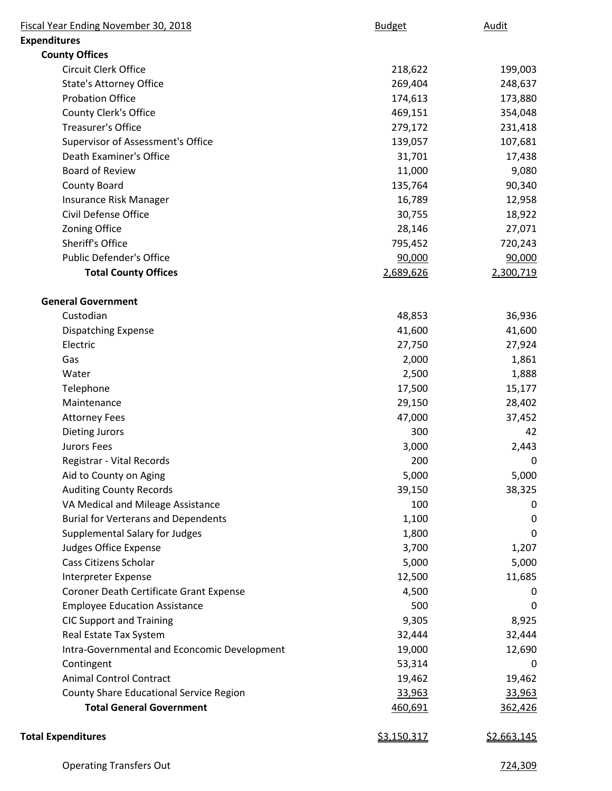| Fiscal Year Ending November 30, 2018         | <b>Budget</b> | Audit              |
|----------------------------------------------|---------------|--------------------|
| <b>Expenditures</b>                          |               |                    |
| <b>County Offices</b>                        |               |                    |
| Circuit Clerk Office                         | 218,622       | 199,003            |
| <b>State's Attorney Office</b>               | 269,404       | 248,637            |
| <b>Probation Office</b>                      | 174,613       | 173,880            |
| County Clerk's Office                        | 469,151       | 354,048            |
| <b>Treasurer's Office</b>                    | 279,172       | 231,418            |
| Supervisor of Assessment's Office            | 139,057       | 107,681            |
| Death Examiner's Office                      | 31,701        | 17,438             |
| <b>Board of Review</b>                       | 11,000        | 9,080              |
| <b>County Board</b>                          | 135,764       | 90,340             |
| Insurance Risk Manager                       | 16,789        | 12,958             |
| Civil Defense Office                         | 30,755        | 18,922             |
| Zoning Office                                | 28,146        | 27,071             |
| Sheriff's Office                             | 795,452       | 720,243            |
| <b>Public Defender's Office</b>              | 90,000        | 90,000             |
| <b>Total County Offices</b>                  | 2,689,626     | 2,300,719          |
| <b>General Government</b>                    |               |                    |
| Custodian                                    | 48,853        | 36,936             |
| <b>Dispatching Expense</b>                   | 41,600        | 41,600             |
| Electric                                     | 27,750        | 27,924             |
| Gas                                          | 2,000         | 1,861              |
| Water                                        | 2,500         | 1,888              |
| Telephone                                    | 17,500        | 15,177             |
| Maintenance                                  | 29,150        | 28,402             |
| <b>Attorney Fees</b>                         | 47,000        | 37,452             |
| <b>Dieting Jurors</b>                        | 300           | 42                 |
| <b>Jurors Fees</b>                           | 3,000         | 2,443              |
| Registrar - Vital Records                    | 200           | 0                  |
| Aid to County on Aging                       | 5,000         | 5,000              |
| <b>Auditing County Records</b>               | 39,150        | 38,325             |
| VA Medical and Mileage Assistance            | 100           | 0                  |
| <b>Burial for Verterans and Dependents</b>   | 1,100         | 0                  |
| Supplemental Salary for Judges               | 1,800         | 0                  |
| <b>Judges Office Expense</b>                 | 3,700         | 1,207              |
| Cass Citizens Scholar                        | 5,000         | 5,000              |
| Interpreter Expense                          | 12,500        | 11,685             |
| Coroner Death Certificate Grant Expense      | 4,500         | 0                  |
| <b>Employee Education Assistance</b>         | 500           | 0                  |
| <b>CIC Support and Training</b>              | 9,305         | 8,925              |
| Real Estate Tax System                       | 32,444        | 32,444             |
| Intra-Governmental and Econcomic Development | 19,000        | 12,690             |
| Contingent                                   | 53,314        | 0                  |
| <b>Animal Control Contract</b>               | 19,462        | 19,462             |
| County Share Educational Service Region      | 33,963        | 33,963             |
| <b>Total General Government</b>              | 460,691       | 362,426            |
| <b>Total Expenditures</b>                    | \$3,150,317   | <u>\$2,663,145</u> |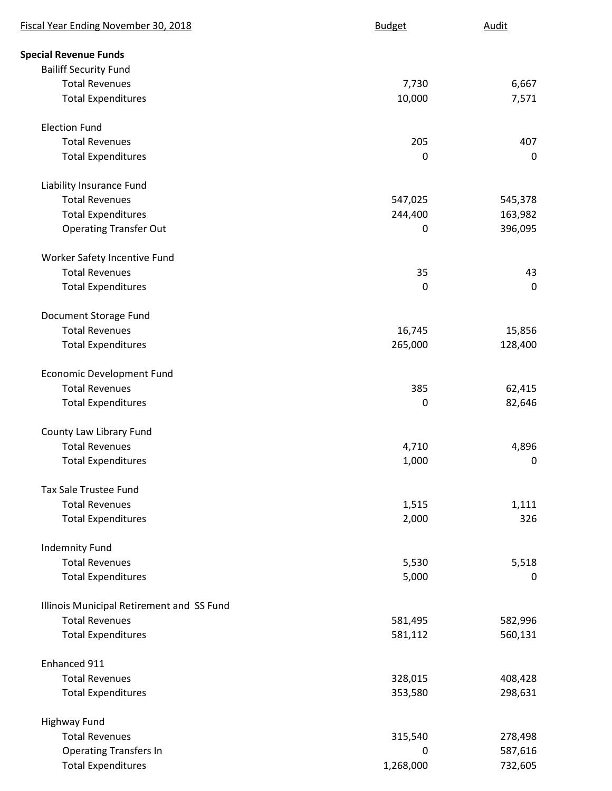| Fiscal Year Ending November 30, 2018      | <b>Budget</b> | Audit       |
|-------------------------------------------|---------------|-------------|
| <b>Special Revenue Funds</b>              |               |             |
| <b>Bailiff Security Fund</b>              |               |             |
| <b>Total Revenues</b>                     | 7,730         | 6,667       |
| <b>Total Expenditures</b>                 | 10,000        | 7,571       |
| <b>Election Fund</b>                      |               |             |
| <b>Total Revenues</b>                     | 205           | 407         |
| <b>Total Expenditures</b>                 | 0             | $\pmb{0}$   |
| Liability Insurance Fund                  |               |             |
| <b>Total Revenues</b>                     | 547,025       | 545,378     |
| <b>Total Expenditures</b>                 | 244,400       | 163,982     |
| <b>Operating Transfer Out</b>             | $\mathbf 0$   | 396,095     |
| Worker Safety Incentive Fund              |               |             |
| <b>Total Revenues</b>                     | 35            | 43          |
| <b>Total Expenditures</b>                 | 0             | $\mathbf 0$ |
| Document Storage Fund                     |               |             |
| <b>Total Revenues</b>                     | 16,745        | 15,856      |
| <b>Total Expenditures</b>                 | 265,000       | 128,400     |
| <b>Economic Development Fund</b>          |               |             |
| <b>Total Revenues</b>                     | 385           | 62,415      |
| <b>Total Expenditures</b>                 | $\mathbf 0$   | 82,646      |
| County Law Library Fund                   |               |             |
| <b>Total Revenues</b>                     | 4,710         | 4,896       |
| <b>Total Expenditures</b>                 | 1,000         | 0           |
| <b>Tax Sale Trustee Fund</b>              |               |             |
| <b>Total Revenues</b>                     | 1,515         | 1,111       |
| <b>Total Expenditures</b>                 | 2,000         | 326         |
| <b>Indemnity Fund</b>                     |               |             |
| <b>Total Revenues</b>                     | 5,530         | 5,518       |
| <b>Total Expenditures</b>                 | 5,000         | $\mathbf 0$ |
| Illinois Municipal Retirement and SS Fund |               |             |
| <b>Total Revenues</b>                     | 581,495       | 582,996     |
| <b>Total Expenditures</b>                 | 581,112       | 560,131     |
| Enhanced 911                              |               |             |
| <b>Total Revenues</b>                     | 328,015       | 408,428     |
| <b>Total Expenditures</b>                 | 353,580       | 298,631     |
| <b>Highway Fund</b>                       |               |             |
| <b>Total Revenues</b>                     | 315,540       | 278,498     |
| <b>Operating Transfers In</b>             | 0             | 587,616     |
| <b>Total Expenditures</b>                 | 1,268,000     | 732,605     |
|                                           |               |             |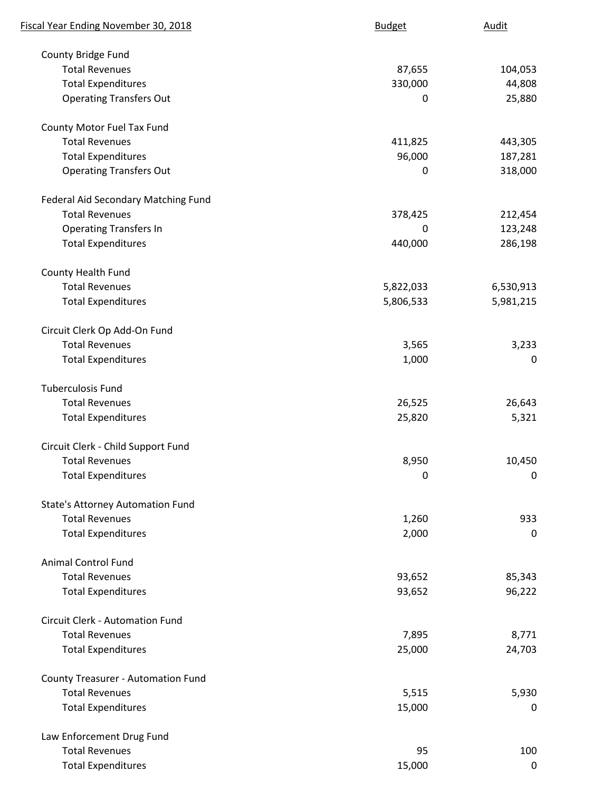| Fiscal Year Ending November 30, 2018      | <b>Budget</b> | Audit       |
|-------------------------------------------|---------------|-------------|
| County Bridge Fund                        |               |             |
| <b>Total Revenues</b>                     | 87,655        | 104,053     |
| <b>Total Expenditures</b>                 | 330,000       | 44,808      |
| <b>Operating Transfers Out</b>            | 0             | 25,880      |
| County Motor Fuel Tax Fund                |               |             |
| <b>Total Revenues</b>                     | 411,825       | 443,305     |
| <b>Total Expenditures</b>                 | 96,000        | 187,281     |
| <b>Operating Transfers Out</b>            | 0             | 318,000     |
| Federal Aid Secondary Matching Fund       |               |             |
| <b>Total Revenues</b>                     | 378,425       | 212,454     |
| <b>Operating Transfers In</b>             | 0             | 123,248     |
| <b>Total Expenditures</b>                 | 440,000       | 286,198     |
| <b>County Health Fund</b>                 |               |             |
| <b>Total Revenues</b>                     | 5,822,033     | 6,530,913   |
| <b>Total Expenditures</b>                 | 5,806,533     | 5,981,215   |
| Circuit Clerk Op Add-On Fund              |               |             |
| <b>Total Revenues</b>                     | 3,565         | 3,233       |
| <b>Total Expenditures</b>                 | 1,000         | 0           |
| <b>Tuberculosis Fund</b>                  |               |             |
| <b>Total Revenues</b>                     | 26,525        | 26,643      |
| <b>Total Expenditures</b>                 | 25,820        | 5,321       |
| Circuit Clerk - Child Support Fund        |               |             |
| <b>Total Revenues</b>                     | 8,950         | 10,450      |
| <b>Total Expenditures</b>                 | 0             | 0           |
| <b>State's Attorney Automation Fund</b>   |               |             |
| <b>Total Revenues</b>                     | 1,260         | 933         |
| <b>Total Expenditures</b>                 | 2,000         | 0           |
| <b>Animal Control Fund</b>                |               |             |
| <b>Total Revenues</b>                     | 93,652        | 85,343      |
| <b>Total Expenditures</b>                 | 93,652        | 96,222      |
| Circuit Clerk - Automation Fund           |               |             |
| <b>Total Revenues</b>                     | 7,895         | 8,771       |
| <b>Total Expenditures</b>                 | 25,000        | 24,703      |
| <b>County Treasurer - Automation Fund</b> |               |             |
| <b>Total Revenues</b>                     | 5,515         | 5,930       |
| <b>Total Expenditures</b>                 | 15,000        | $\mathbf 0$ |
| Law Enforcement Drug Fund                 |               |             |
| <b>Total Revenues</b>                     | 95            | 100         |
| <b>Total Expenditures</b>                 | 15,000        | $\mathbf 0$ |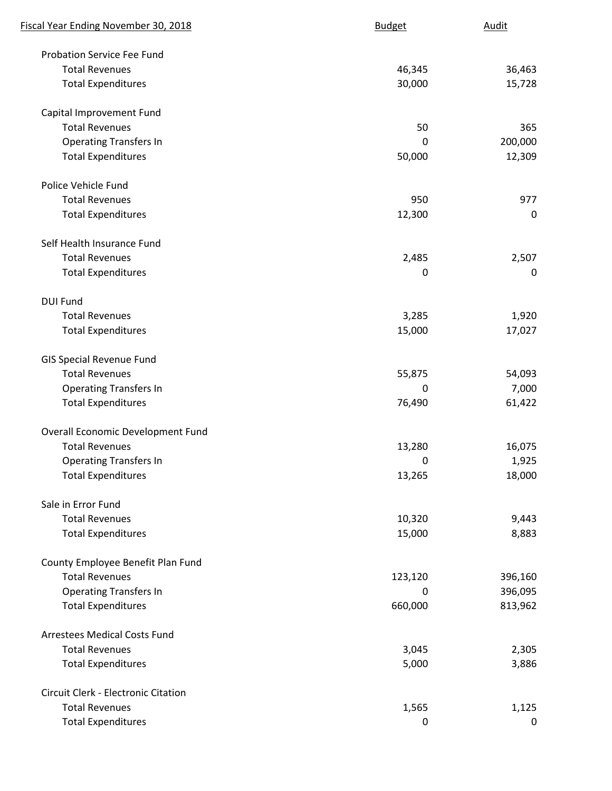| Fiscal Year Ending November 30, 2018 | <b>Budget</b> | Audit       |
|--------------------------------------|---------------|-------------|
| <b>Probation Service Fee Fund</b>    |               |             |
| <b>Total Revenues</b>                | 46,345        | 36,463      |
| <b>Total Expenditures</b>            | 30,000        | 15,728      |
| Capital Improvement Fund             |               |             |
| <b>Total Revenues</b>                | 50            | 365         |
| <b>Operating Transfers In</b>        | 0             | 200,000     |
| <b>Total Expenditures</b>            | 50,000        | 12,309      |
| Police Vehicle Fund                  |               |             |
| <b>Total Revenues</b>                | 950           | 977         |
| <b>Total Expenditures</b>            | 12,300        | $\mathbf 0$ |
| Self Health Insurance Fund           |               |             |
| <b>Total Revenues</b>                | 2,485         | 2,507       |
| <b>Total Expenditures</b>            | $\mathbf 0$   | $\mathbf 0$ |
| <b>DUI Fund</b>                      |               |             |
| <b>Total Revenues</b>                | 3,285         | 1,920       |
| <b>Total Expenditures</b>            | 15,000        | 17,027      |
| <b>GIS Special Revenue Fund</b>      |               |             |
| <b>Total Revenues</b>                | 55,875        | 54,093      |
| <b>Operating Transfers In</b>        | 0             | 7,000       |
| <b>Total Expenditures</b>            | 76,490        | 61,422      |
| Overall Economic Development Fund    |               |             |
| <b>Total Revenues</b>                | 13,280        | 16,075      |
| <b>Operating Transfers In</b>        | $\mathbf 0$   | 1,925       |
| <b>Total Expenditures</b>            | 13,265        | 18,000      |
| Sale in Error Fund                   |               |             |
| <b>Total Revenues</b>                | 10,320        | 9,443       |
| <b>Total Expenditures</b>            | 15,000        | 8,883       |
| County Employee Benefit Plan Fund    |               |             |
| <b>Total Revenues</b>                | 123,120       | 396,160     |
| <b>Operating Transfers In</b>        | 0             | 396,095     |
| <b>Total Expenditures</b>            | 660,000       | 813,962     |
| <b>Arrestees Medical Costs Fund</b>  |               |             |
| <b>Total Revenues</b>                | 3,045         | 2,305       |
| <b>Total Expenditures</b>            | 5,000         | 3,886       |
| Circuit Clerk - Electronic Citation  |               |             |
| <b>Total Revenues</b>                | 1,565         | 1,125       |
| <b>Total Expenditures</b>            | 0             | $\mathbf 0$ |
|                                      |               |             |